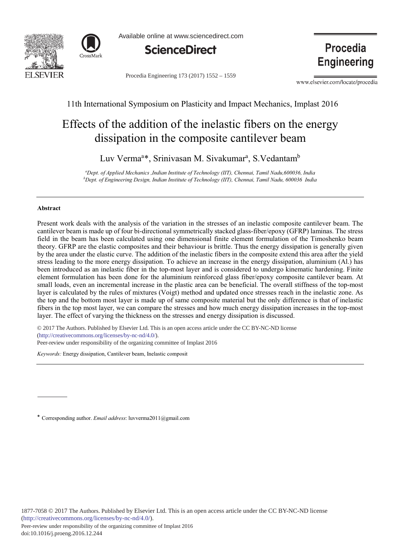



Available online at www.sciencedirect.com



Procedia Engineering 173 (2017) 1552 - 1559

Procedia **Engineering** 

www.elsevier.com/locate/procedia

11th International Symposium on Plasticity and Impact Mechanics, Implast 2016

# Effects of the addition of the inelastic fibers on the energy dissipation in the composite cantilever beam

Luv Verma<sup>a\*</sup>, Srinivasan M. Sivakumar<sup>a</sup>, S.Vedantam<sup>b</sup>

*- 
-
- --- 
-*  $^b$ Dept. of Engineering Design, Indian Institute of Technology (IIT), Chennai, Tamil Nadu, 600036 India

## **-**

Present work deals with the analysis of the variation in the stresses of an inelastic composite cantilever beam. The cantilever beam is made up of four bi-directional symmetrically stacked glass-fiber/epoxy (GFRP) laminas. The stress field in the beam has been calculated using one dimensional finite element formulation of the Timoshenko beam theory. GFRP are the elastic composites and their behaviour is brittle. Thus the energy dissipation is generally given by the area under the elastic curve. The addition of the inelastic fibers in the composite extend this area after the yield stress leading to the more energy dissipation. To achieve an increase in the energy dissipation, aluminium (Al.) has been introduced as an inelastic fiber in the top-most layer and is considered to undergo kinematic hardening. Finite element formulation has been done for the aluminium reinforced glass fiber/epoxy composite cantilever beam. At small loads, even an incremental increase in the plastic area can be beneficial. The overall stiffness of the top-most layer is calculated by the rules of mixtures (Voigt) method and updated once stresses reach in the inelastic zone. As the top and the bottom most layer is made up of same composite material but the only difference is that of inelastic fibers in the top most layer, we can compare the stresses and how much energy dissipation increases in the top-most layer. The effect of varying the thickness on the stresses and energy dissipation is discussed.

 $\overline{a}$  $\degree$  2017 The Authors. Published by Elsevier Ltd. This is an open access article under the CC BY-NC-ND license (imp.//creativecommons.org/ncenses/by-nc-nd/+.0/).<br>Peer-review under responsibility of the organizing committee of Implast 2016 (http://creativecommons.org/licenses/by-nc-nd/4.0/).

Keywords: Energy dissipation, Cantilever beam, Inelastic composit

\* Corresponding author. *Email address*: luvverma2011@gmail.com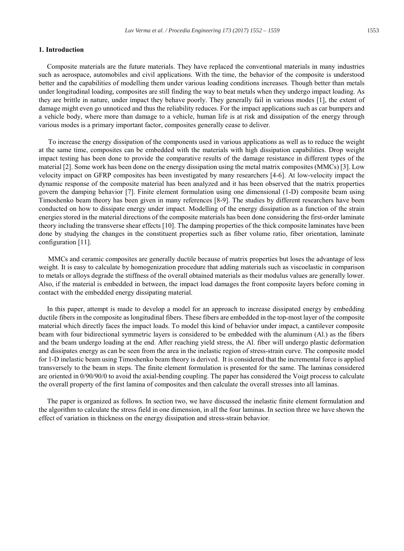### 1. Introduction

Composite materials are the future materials. They have replaced the conventional materials in many industries such as aerospace, automobiles and civil applications. With the time, the behavior of the composite is understood better and the capabilities of modelling them under various loading conditions increases. Though better than metals under longitudinal loading, composites are still finding the way to beat metals when they undergo impact loading. As they are brittle in nature, under impact they behave poorly. They generally fail in various modes [1], the extent of damage might even go unnoticed and thus the reliability reduces. For the impact applications such as car bumpers and a vehicle body, where more than damage to a vehicle, human life is at risk and dissipation of the energy through various modes is a primary important factor, composites generally cease to deliver.

To increase the energy dissipation of the components used in various applications as well as to reduce the weight at the same time, composites can be embedded with the materials with high dissipation capabilities. Drop weight impact testing has been done to provide the comparative results of the damage resistance in different types of the material [2]. Some work has been done on the energy dissipation using the metal matrix composites (MMCs) [3]. Low velocity impact on GFRP composites has been investigated by many researchers [4-6]. At low-velocity impact the dynamic response of the composite material has been analyzed and it has been observed that the matrix properties govern the damping behavior [7]. Finite element formulation using one dimensional (1-D) composite beam using Timoshenko beam theory has been given in many references [8-9]. The studies by different researchers have been conducted on how to dissipate energy under impact. Modelling of the energy dissipation as a function of the strain energies stored in the material directions of the composite materials has been done considering the first-order laminate theory including the transverse shear effects [10]. The damping properties of the thick composite laminates have been done by studying the changes in the constituent properties such as fiber volume ratio, fiber orientation, laminate configuration [11].

MMCs and ceramic composites are generally ductile because of matrix properties but loses the advantage of less weight. It is easy to calculate by homogenization procedure that adding materials such as viscoelastic in comparison to metals or alloys degrade the stiffness of the overall obtained materials as their modulus values are generally lower. Also, if the material is embedded in between, the impact load damages the front composite layers before coming in contact with the embedded energy dissipating material.

In this paper, attempt is made to develop a model for an approach to increase dissipated energy by embedding ductile fibers in the composite as longitudinal fibers. These fibers are embedded in the top-most layer of the composite material which directly faces the impact loads. To model this kind of behavior under impact, a cantilever composite beam with four bidirectional symmetric layers is considered to be embedded with the aluminum (Al.) as the fibers and the beam undergo loading at the end. After reaching yield stress, the Al. fiber will undergo plastic deformation and dissipates energy as can be seen from the area in the inelastic region of stress-strain curve. The composite model for 1-D inelastic beam using Timoshenko beam theory is derived. It is considered that the incremental force is applied transversely to the beam in steps. The finite element formulation is presented for the same. The laminas considered are oriented in 0/90/90/0 to avoid the axial-bending coupling. The paper has considered the Voigt process to calculate the overall property of the first lamina of composites and then calculate the overall stresses into all laminas.

The paper is organized as follows. In section two, we have discussed the inelastic finite element formulation and the algorithm to calculate the stress field in one dimension, in all the four laminas. In section three we have shown the effect of variation in thickness on the energy dissipation and stress-strain behavior.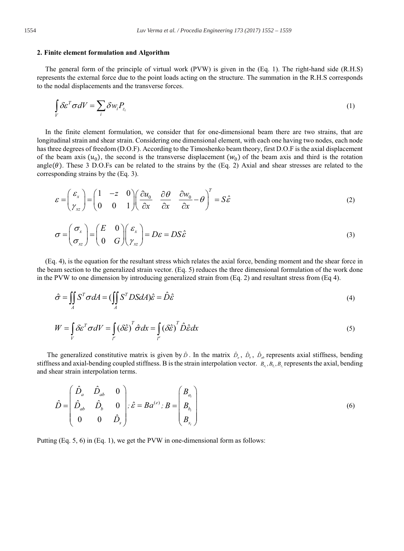#### 2. Finite element formulation and Algorithm

The general form of the principle of virtual work (PVW) is given in the (Eq. 1). The right-hand side (R.H.S) represents the external force due to the point loads acting on the structure. The summation in the R.H.S corresponds to the nodal displacements and the transverse forces.

$$
\int_{V} \delta \varepsilon^{T} \sigma dV = \sum_{i} \delta w_{i} P_{z_{i}} \tag{1}
$$

In the finite element formulation, we consider that for one-dimensional beam there are two strains, that are longitudinal strain and shear strain. Considering one dimensional element, with each one having two nodes, each node has three degrees of freedom (D.O.F). According to the Timoshenko beam theory, first D.O.F is the axial displacement of the beam axis  $(u_0)$ , the second is the transverse displacement  $(w_0)$  of the beam axis and third is the rotation  $angle(\theta)$ . These 3 D.O.Fs can be related to the strains by the (Eq. 2) Axial and shear stresses are related to the corresponding strains by the (Eq. 3).

$$
\varepsilon = \begin{pmatrix} \varepsilon_x \\ \gamma_{xz} \end{pmatrix} = \begin{pmatrix} 1 & -z & 0 \\ 0 & 0 & 1 \end{pmatrix} \begin{pmatrix} \frac{\partial u_0}{\partial x} & \frac{\partial \theta}{\partial x} & \frac{\partial w_0}{\partial x} - \theta \end{pmatrix}^T = S\hat{\varepsilon}
$$
 (2)

$$
\sigma = \begin{pmatrix} \sigma_x \\ \sigma_{xz} \end{pmatrix} = \begin{pmatrix} E & 0 \\ 0 & G \end{pmatrix} \begin{pmatrix} \varepsilon_x \\ \gamma_{xz} \end{pmatrix} = D\varepsilon = DS\hat{\varepsilon}
$$
\n(3)

(Eq. 4), is the equation for the resultant stress which relates the axial force, bending moment and the shear force in the beam section to the generalized strain vector. (Eq. 5) reduces the three dimensional formulation of the work done in the PVW to one dimension by introducing generalized strain from  $(Eq. 2)$  and resultant stress from  $(Eq 4)$ .

$$
\hat{\sigma} = \iint_{A} S^{T} \sigma dA = (\iint_{A} S^{T} DS dA) \hat{\varepsilon} = \hat{D} \hat{\varepsilon}
$$
\n(4)

$$
W = \int_{V} \delta \varepsilon^{T} \sigma dV = \int_{I^c} (\delta \hat{\varepsilon})^{T} \hat{\sigma} d\mathbf{x} = \int_{I^c} (\delta \hat{\varepsilon})^{T} \hat{D} \hat{\varepsilon} d\mathbf{x}
$$
 (5)

The generalized constitutive matrix is given by  $\hat{D}$ . In the matrix  $\hat{D}_{a}$ ,  $\hat{D}_{b}$ ,  $\hat{D}_{a}$  represents axial stiffness, bending stiffness and axial-bending coupled stiffness. B is the strain interpolation vector.  $B_a$ ,  $B_b$ ,  $B_s$  represents the axial, bending and shear strain interpolation terms.

$$
\hat{D} = \begin{pmatrix} \hat{D}_a & \hat{D}_{ab} & 0 \\ \hat{D}_{ab} & \hat{D}_b & 0 \\ 0 & 0 & \hat{D}_s \end{pmatrix}; \hat{\varepsilon} = Ba^{(e)}; B = \begin{pmatrix} B_{a_i} \\ B_{b_i} \\ B_{s_i} \end{pmatrix}
$$
\n(6)

Putting (Eq. 5, 6) in (Eq. 1), we get the PVW in one-dimensional form as follows: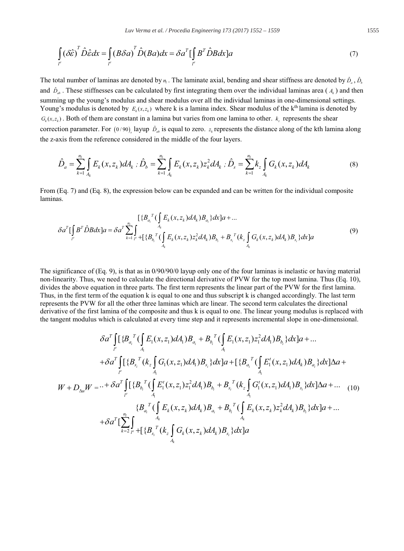$$
\int_{I^e} (\delta \hat{\varepsilon})^T \hat{D} \hat{\varepsilon} dx = \int_{I^e} (B \delta a)^T \hat{D} (B a) dx = \delta a^T [\int_{I^e} B^T \hat{D} B dx] a
$$
\n(7)

The total number of laminas are denoted by  $n_i$ . The laminate axial, bending and shear stiffness are denoted by  $\hat{D}_n$ ,  $\hat{D}_n$ and  $\hat{D}_{ab}$ . These stiffnesses can be calculated by first integrating them over the individual laminas area ( $A_k$ ) and then summing up the young's modulus and shear modulus over all the individual laminas in one-dimensional settings. Young's modulus is denoted by  $E_{\nu}(x, z_{\nu})$  where k is a lamina index. Shear modulus of the k<sup>th</sup> lamina is denoted by  $G_{\varepsilon}(x, z_{\varepsilon})$ . Both of them are constant in a lamina but varies from one lamina to other.  $k_{\varepsilon}$  represents the shear correction parameter. For (0/90) layup  $\hat{D}_{ab}$  is equal to zero.  $z_k$  represents the distance along of the kth lamina along the z-axis from the reference considered in the middle of the four layers.

$$
\hat{D}_a = \sum_{k=1}^{n_l} \int_{A_k} E_k(x, z_k) dA_k \; ; \; \hat{D}_b = \sum_{k=1}^{n_l} \int_{A_k} E_k(x, z_k) z_k^2 dA_k \; ; \; \hat{D}_s = \sum_{k=1}^{n_l} k_z \int_{A_k} G_k(x, z_k) dA_k \tag{8}
$$

From (Eq. 7) and (Eq. 8), the expression below can be expanded and can be written for the individual composite laminas.

$$
\delta a^{T} \left[ \int_{I^{c}} B^{T} \hat{D}B dx \right] a = \delta a^{T} \sum_{k=1}^{n_{l}} \int_{I^{c}}^{R} \left\{ \int_{A_{k}} E_{k}(x, z_{k}) dA_{k} \right\} B_{a_{l}} dx \right] a + \dots
$$
\n
$$
\delta a^{T} \left[ \int_{I^{c}} B^{T} \hat{D}B dx \right] a = \delta a^{T} \sum_{k=1}^{n_{l}} \int_{I^{c}}^{R} \left\{ \int_{A_{k}} E_{k}(x, z_{k}) z_{k}^{2} dA_{k} \right\} B_{b_{l}} + B_{s_{l}}^{T} (k_{z} \int_{A_{k}} G_{k}(x, z_{k}) dA_{k}) B_{s_{l}} dx \right] a \tag{9}
$$

The significance of  $(Eq, 9)$ , is that as in  $0/90/90/0$  layup only one of the four laminas is inelastic or having material non-linearity. Thus, we need to calculate the directional derivative of PVW for the top most lamina. Thus (Eq. 10), divides the above equation in three parts. The first term represents the linear part of the PVW for the first lamina. Thus, in the first term of the equation k is equal to one and thus subscript k is changed accordingly. The last term represents the PVW for all the other three laminas which are linear. The second term calculates the directional derivative of the first lamina of the composite and thus k is equal to one. The linear young modulus is replaced with the tangent modulus which is calculated at every time step and it represents incremental slope in one-dimensional.

$$
\delta a^{T} \int_{I^{e}} [\{B_{a_{i}}^{T} (\int_{A_{1}}^{L} E_{1}(x, z_{1}) dA_{1}) B_{a_{i}} + B_{b_{i}}^{T} (\int_{A_{1}}^{L} E_{1}(x, z_{1}) z_{1}^{2} dA_{1}) B_{b_{i}} \} dx] a + ... + \delta a^{T} \int_{I^{e}} [\{B_{s_{i}}^{T} (k_{z} \int_{A_{1}}^{L} G_{1}(x, z_{1}) dA_{1}) B_{s_{i}} \} dx] a + [\{B_{a_{i}}^{T} (\int_{A_{1}}^{L} E_{1}^{t}(x, z_{1}) dA_{k}) B_{a_{i}} \} dx] \Delta a +
$$
  

$$
W + D_{\Delta u} W = ... + \delta a^{T} \int_{I^{e}} [\{B_{b_{i}}^{T} (\int_{A_{1}}^{L} E_{1}^{t}(x, z_{1}) z_{1}^{2} dA_{1}) B_{b_{i}} + B_{s_{i}}^{T} (k_{z} \int_{A_{1}}^{L} G_{1}^{t}(x, z_{1}) dA_{1}) B_{s_{i}} \} dx] \Delta a + ... \quad (10)
$$
  

$$
\{B_{a_{i}}^{T} (\int_{A_{k}}^{L} E_{k}(x, z_{k}) dA_{k}) B_{a_{i}} + B_{b_{i}}^{T} (\int_{A_{k}}^{L} E_{k}(x, z_{k}) z_{k}^{2} dA_{k}) B_{b_{i}} \} dx] a + ...
$$
  

$$
+ \delta a^{T} [\sum_{k=2}^{n_{i}} \int_{I^{e}}^{A_{k}} + [\{B_{s_{i}}^{T} (k_{z} \int_{A_{k}}^{L} G_{k}(x, z_{k}) dA_{k}) B_{s_{i}} \} dx] a
$$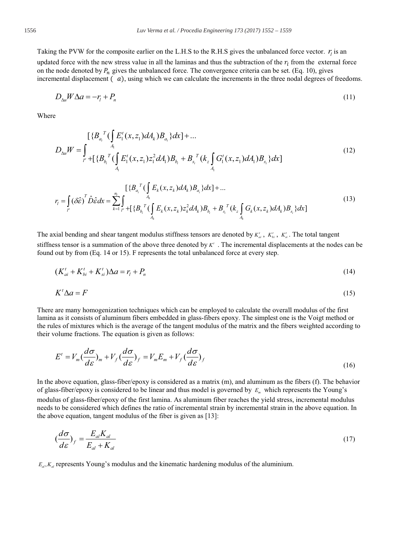Taking the PVW for the composite earlier on the L.H.S to the R.H.S gives the unbalanced force vector.  $r_i$  is an updated force with the new stress value in all the laminas and thus the subtraction of the  $r<sub>l</sub>$  from the external force on the node denoted by  $P_n$  gives the unbalanced force. The convergence criteria can be set. (Eq. 10), gives incremental displacement  $(a)$ , using which we can calculate the increments in the three nodal degrees of freedoms.

$$
D_{\lambda u} W \Delta a = -r_i + P_n \tag{11}
$$

Where

$$
D_{\Delta u}W = \int_{l^{e}} \left\{ \sum_{i=1}^{N} \left( \int_{A_{i}} E_{i}^{t}(x, z_{1}) dA_{k} \right) B_{a_{i}} \right\} dx \right\} + \dots
$$
\n
$$
D_{\Delta u}W = \int_{l^{e}} \left\{ \sum_{i=1}^{N} \left( \int_{A_{i}} E_{i}^{t}(x, z_{1}) z_{i}^{2} dA_{i} \right) B_{b_{i}} + B_{s_{i}}^{T} \left( k_{z} \int_{A_{i}} G_{i}^{t}(x, z_{1}) dA_{i} \right) B_{s_{i}} \right\} dx \right\}
$$
\n
$$
(12)
$$

$$
r_{i} = \int_{r} (\delta \hat{\varepsilon})^{T} \hat{D} \hat{\varepsilon} dx = \sum_{k=1}^{n_{i}} \int_{r} \int_{-k}^{4_{k}} \int_{A_{k}}^{A_{k}} E_{k}(x, z_{k}) dA_{k} B_{a_{i}} dx + \dots
$$
\n
$$
r_{i} = \int_{r} (\delta \hat{\varepsilon})^{T} \hat{D} \hat{\varepsilon} dx = \sum_{k=1}^{n_{i}} \int_{r} \int_{A_{k}}^{4_{k}} E_{k}(x, z_{k}) \hat{Z}_{k}^{2} dA_{k} B_{b_{i}} + B_{s_{i}}^{T} (k_{z} \int_{A_{k}} G_{k}(x, z_{k}) dA_{k}) B_{s_{i}} dx
$$
\n
$$
(13)
$$

The axial bending and shear tangent modulus stiffness tensors are denoted by  $K'_{ai}$ ,  $K'_{bi}$ ,  $K'_{si}$ . The total tangent stiffness tensor is a summation of the above three denoted by  $K'$ . The incremental displacements at the nodes can be found out by from (Eq. 14 or 15). F represents the total unbalanced force at every step.

$$
(K'_{ai} + K'_{bi} + K'_{si})\Delta a = r_l + P_n
$$
\n(14)

$$
K'\Delta a = F\tag{15}
$$

There are many homogenization techniques which can be employed to calculate the overall modulus of the first lamina as it consists of aluminum fibers embedded in glass-fibers epoxy. The simplest one is the Voigt method or the rules of mixtures which is the average of the tangent modulus of the matrix and the fibers weighted according to their volume fractions. The equation is given as follows:

$$
E' = V_m \left(\frac{d\sigma}{d\varepsilon}\right)_m + V_f \left(\frac{d\sigma}{d\varepsilon}\right)_f = V_m E_m + V_f \left(\frac{d\sigma}{d\varepsilon}\right)_f
$$
\n(16)

In the above equation, glass-fiber/epoxy is considered as a matrix  $(m)$ , and aluminum as the fibers  $(f)$ . The behavior of glass-fiber/epoxy is considered to be linear and thus model is governed by  $E<sub>m</sub>$  which represents the Young's modulus of glass-fiber/epoxy of the first lamina. As aluminum fiber reaches the yield stress, incremental modulus needs to be considered which defines the ratio of incremental strain by incremental strain in the above equation. In the above equation, tangent modulus of the fiber is given as [13]:

$$
\left(\frac{d\sigma}{d\varepsilon}\right)_f = \frac{E_{al}K_{al}}{E_{al} + K_{al}}\tag{17}
$$

 $E_{a}$ ,  $K_{a}$  represents Young's modulus and the kinematic hardening modulus of the aluminium.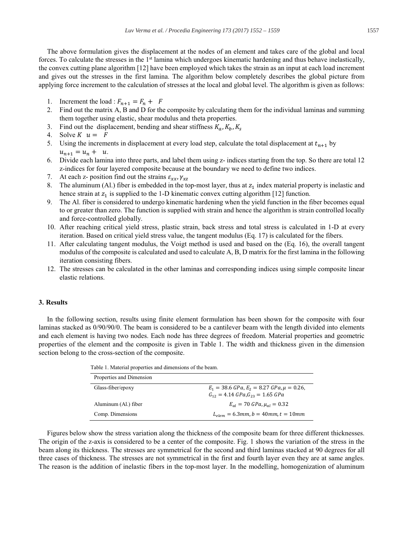The above formulation gives the displacement at the nodes of an element and takes care of the global and local forces. To calculate the stresses in the 1<sup>st</sup> lamina which undergoes kinematic hardening and thus behave inelastically, the convex cutting plane algorithm [12] have been employed which takes the strain as an input at each load increment and gives out the stresses in the first lamina. The algorithm below completely describes the global picture from applying force increment to the calculation of stresses at the local and global level. The algorithm is given as follows:

- 1. Increment the load :  $F_{n+1} = F_n + F$
- 2. Find out the matrix A, B and D for the composite by calculating them for the individual laminas and summing them together using elastic, shear modulus and theta properties.
- 3. Find out the displacement, bending and shear stiffness  $K_a$ ,  $K_b$ ,  $K_s$
- 4. Solve  $K$   $u = F$
- 5. Using the increments in displacement at every load step, calculate the total displacement at  $t_{n+1}$  by  $u_{n+1} = u_n + u$ .
- 6. Divide each lamina into three parts, and label them using z- indices starting from the top. So there are total 12 z-indices for four layered composite because at the boundary we need to define two indices.
- 7. At each z- position find out the strains  $\varepsilon_{xx}$ ,  $\gamma_{xz}$
- 8. The aluminum (Al.) fiber is embedded in the top-most layer, thus at  $z_1$  index material property is inelastic and hence strain at  $z_1$  is supplied to the 1-D kinematic convex cutting algorithm [12] function.
- 9. The Al. fiber is considered to undergo kinematic hardening when the yield function in the fiber becomes equal to or greater than zero. The function is supplied with strain and hence the algorithm is strain controlled locally and force-controlled globally.
- 10. After reaching critical yield stress, plastic strain, back stress and total stress is calculated in 1-D at every iteration. Based on critical yield stress value, the tangent modulus (Eq. 17) is calculated for the fibers.
- 11. After calculating tangent modulus, the Voigt method is used and based on the (Eq. 16), the overall tangent modulus of the composite is calculated and used to calculate A, B, D matrix for the first lamina in the following iteration consisting fibers.
- 12. The stresses can be calculated in the other laminas and corresponding indices using simple composite linear elastic relations.

## 3. Results

In the following section, results using finite element formulation has been shown for the composite with four laminas stacked as 0/90/90/0. The beam is considered to be a cantilever beam with the length divided into elements and each element is having two nodes. Each node has three degrees of freedom. Material properties and geometric properties of the element and the composite is given in Table 1. The width and thickness given in the dimension section belong to the cross-section of the composite.

Table 1. Material properties and dimensions of the beam.

| Properties and Dimension |                                                                                                                         |
|--------------------------|-------------------------------------------------------------------------------------------------------------------------|
| Glass-fiber/epoxy        | $E_1 = 38.6 \text{ GPa}, E_2 = 8.27 \text{ GPa}, \mu = 0.26,$<br>$G_{12} = 4.14 \text{ GPa}, G_{23} = 1.65 \text{ GPa}$ |
| Aluminum (Al.) fiber     | $E_{\alpha l} = 70 \text{ GPa}, \mu_{\alpha l} = 0.32$                                                                  |
| Comp. Dimensions         | $L_{elem} = 6.3mm, b = 40mm, t = 10mm$                                                                                  |

Figures below show the stress variation along the thickness of the composite beam for three different thicknesses. The origin of the z-axis is considered to be a center of the composite. Fig. 1 shows the variation of the stress in the beam along its thickness. The stresses are symmetrical for the second and third laminas stacked at 90 degrees for all three cases of thickness. The stresses are not symmetrical in the first and fourth layer even they are at same angles. The reason is the addition of inelastic fibers in the top-most layer. In the modelling, homogenization of aluminum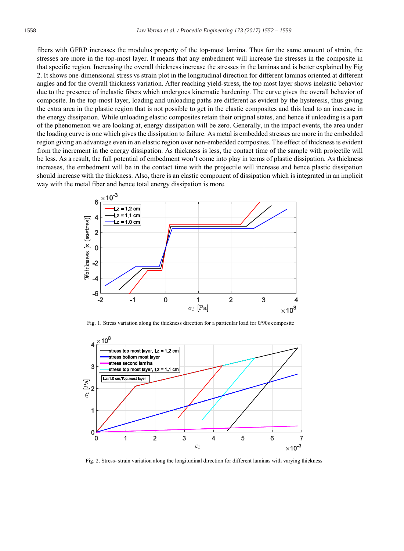fibers with GFRP increases the modulus property of the top-most lamina. Thus for the same amount of strain, the stresses are more in the top-most laver. It means that any embedment will increase the stresses in the composite in that specific region. Increasing the overall thickness increase the stresses in the laminas and is better explained by Fig 2. It shows one-dimensional stress vs strain plot in the longitudinal direction for different laminas oriented at different angles and for the overall thickness variation. After reaching yield-stress, the top most layer shows inelastic behavior due to the presence of inelastic fibers which undergoes kinematic hardening. The curve gives the overall behavior of composite. In the top-most layer, loading and unloading paths are different as evident by the hysteresis, thus giving the extra area in the plastic region that is not possible to get in the elastic composites and this lead to an increase in the energy dissipation. While unloading elastic composites retain their original states, and hence if unloading is a part of the phenomenon we are looking at, energy dissipation will be zero. Generally, in the impact events, the area under the loading curve is one which gives the dissipation to failure. As metal is embedded stresses are more in the embedded region giving an advantage even in an elastic region over non-embedded composites. The effect of thickness is evident from the increment in the energy dissipation. As thickness is less, the contact time of the sample with projectile will be less. As a result, the full potential of embedment won't come into play in terms of plastic dissipation. As thickness increases, the embedment will be in the contact time with the projectile will increase and hence plastic dissipation should increase with the thickness. Also, there is an elastic component of dissipation which is integrated in an implicit way with the metal fiber and hence total energy dissipation is more.



Fig. 1. Stress variation along the thickness direction for a particular load for 0/90s composite



Fig. 2. Stress- strain variation along the longitudinal direction for different laminas with varying thickness